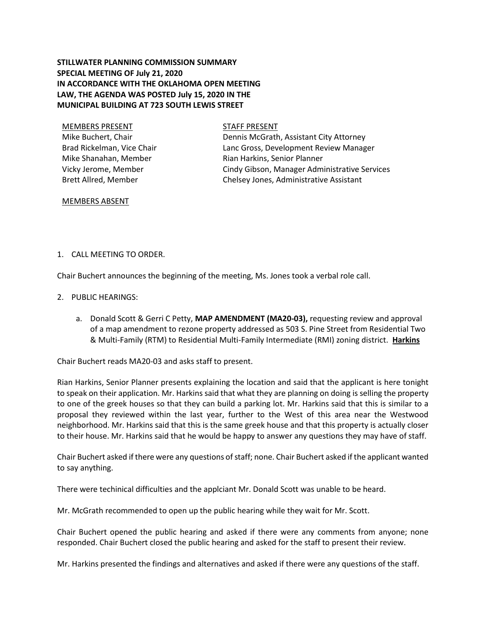# **STILLWATER PLANNING COMMISSION SUMMARY SPECIAL MEETING OF July 21, 2020 IN ACCORDANCE WITH THE OKLAHOMA OPEN MEETING LAW, THE AGENDA WAS POSTED July 15, 2020 IN THE MUNICIPAL BUILDING AT 723 SOUTH LEWIS STREET**

MEMBERS PRESENT STAFF PRESENT Mike Buchert, Chair Brad Rickelman, Vice Chair Mike Shanahan, Member Vicky Jerome, Member Brett Allred, Member

Dennis McGrath, Assistant City Attorney Lanc Gross, Development Review Manager Rian Harkins, Senior Planner Cindy Gibson, Manager Administrative Services Chelsey Jones, Administrative Assistant

#### MEMBERS ABSENT

## 1. CALL MEETING TO ORDER.

Chair Buchert announces the beginning of the meeting, Ms. Jones took a verbal role call.

- 2. PUBLIC HEARINGS:
	- a. Donald Scott & Gerri C Petty, **MAP AMENDMENT (MA20-03),** requesting review and approval of a map amendment to rezone property addressed as 503 S. Pine Street from Residential Two & Multi-Family (RTM) to Residential Multi-Family Intermediate (RMI) zoning district. **Harkins**

Chair Buchert reads MA20-03 and asks staff to present.

Rian Harkins, Senior Planner presents explaining the location and said that the applicant is here tonight to speak on their application. Mr. Harkins said that what they are planning on doing is selling the property to one of the greek houses so that they can build a parking lot. Mr. Harkins said that this is similar to a proposal they reviewed within the last year, further to the West of this area near the Westwood neighborhood. Mr. Harkins said that this is the same greek house and that this property is actually closer to their house. Mr. Harkins said that he would be happy to answer any questions they may have of staff.

Chair Buchert asked if there were any questions of staff; none. Chair Buchert asked if the applicant wanted to say anything.

There were techinical difficulties and the applciant Mr. Donald Scott was unable to be heard.

Mr. McGrath recommended to open up the public hearing while they wait for Mr. Scott.

Chair Buchert opened the public hearing and asked if there were any comments from anyone; none responded. Chair Buchert closed the public hearing and asked for the staff to present their review.

Mr. Harkins presented the findings and alternatives and asked if there were any questions of the staff.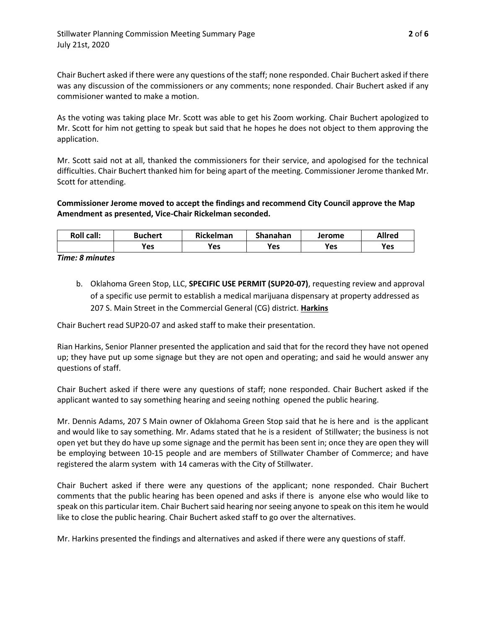Chair Buchert asked if there were any questions of the staff; none responded. Chair Buchert asked if there was any discussion of the commissioners or any comments; none responded. Chair Buchert asked if any commisioner wanted to make a motion.

As the voting was taking place Mr. Scott was able to get his Zoom working. Chair Buchert apologized to Mr. Scott for him not getting to speak but said that he hopes he does not object to them approving the application.

Mr. Scott said not at all, thanked the commissioners for their service, and apologised for the technical difficulties. Chair Buchert thanked him for being apart of the meeting. Commissioner Jerome thanked Mr. Scott for attending.

# **Commissioner Jerome moved to accept the findings and recommend City Council approve the Map Amendment as presented, Vice-Chair Rickelman seconded.**

| <b>Roll call:</b> | Buchert | Rickelman  | Shanahan | Jerome | Allred |
|-------------------|---------|------------|----------|--------|--------|
|                   | Yes     | <b>Yes</b> | Yes      | Yes    | Yes    |

## *Time: 8 minutes*

b. Oklahoma Green Stop, LLC, **SPECIFIC USE PERMIT (SUP20-07)**, requesting review and approval of a specific use permit to establish a medical marijuana dispensary at property addressed as 207 S. Main Street in the Commercial General (CG) district. **Harkins**

Chair Buchert read SUP20-07 and asked staff to make their presentation.

Rian Harkins, Senior Planner presented the application and said that for the record they have not opened up; they have put up some signage but they are not open and operating; and said he would answer any questions of staff.

Chair Buchert asked if there were any questions of staff; none responded. Chair Buchert asked if the applicant wanted to say something hearing and seeing nothing opened the public hearing.

Mr. Dennis Adams, 207 S Main owner of Oklahoma Green Stop said that he is here and is the applicant and would like to say something. Mr. Adams stated that he is a resident of Stillwater; the business is not open yet but they do have up some signage and the permit has been sent in; once they are open they will be employing between 10-15 people and are members of Stillwater Chamber of Commerce; and have registered the alarm system with 14 cameras with the City of Stillwater.

Chair Buchert asked if there were any questions of the applicant; none responded. Chair Buchert comments that the public hearing has been opened and asks if there is anyone else who would like to speak on this particular item. Chair Buchert said hearing nor seeing anyone to speak on this item he would like to close the public hearing. Chair Buchert asked staff to go over the alternatives.

Mr. Harkins presented the findings and alternatives and asked if there were any questions of staff.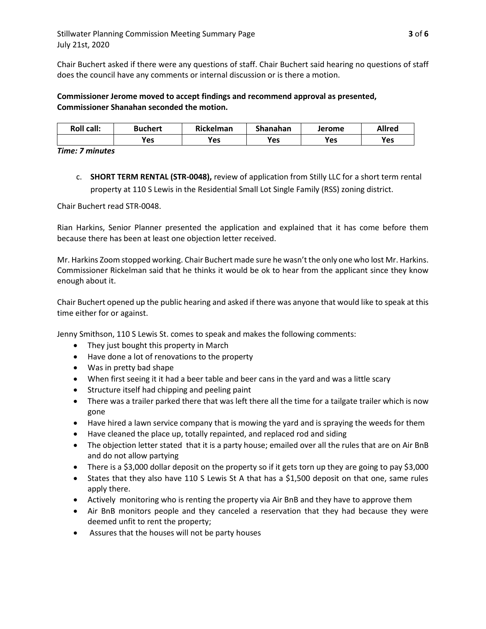Chair Buchert asked if there were any questions of staff. Chair Buchert said hearing no questions of staff does the council have any comments or internal discussion or is there a motion.

## **Commissioner Jerome moved to accept findings and recommend approval as presented, Commissioner Shanahan seconded the motion.**

| <b>Roll call:</b> | Buchert | Rickelman | Shanahan | <b>Jerome</b> | <b>Allred</b> |
|-------------------|---------|-----------|----------|---------------|---------------|
|                   | Yes     | Yes       | Yes      | Yes           | Yes           |

*Time: 7 minutes*

c. **SHORT TERM RENTAL (STR-0048),** review of application from Stilly LLC for a short term rental property at 110 S Lewis in the Residential Small Lot Single Family (RSS) zoning district.

Chair Buchert read STR-0048.

Rian Harkins, Senior Planner presented the application and explained that it has come before them because there has been at least one objection letter received.

Mr. Harkins Zoom stopped working. Chair Buchert made sure he wasn't the only one who lost Mr. Harkins. Commissioner Rickelman said that he thinks it would be ok to hear from the applicant since they know enough about it.

Chair Buchert opened up the public hearing and asked if there was anyone that would like to speak at this time either for or against.

Jenny Smithson, 110 S Lewis St. comes to speak and makes the following comments:

- They just bought this property in March
- Have done a lot of renovations to the property
- Was in pretty bad shape
- When first seeing it it had a beer table and beer cans in the yard and was a little scary
- Structure itself had chipping and peeling paint
- There was a trailer parked there that was left there all the time for a tailgate trailer which is now gone
- Have hired a lawn service company that is mowing the yard and is spraying the weeds for them
- Have cleaned the place up, totally repainted, and replaced rod and siding
- The objection letter stated that it is a party house; emailed over all the rules that are on Air BnB and do not allow partying
- There is a \$3,000 dollar deposit on the property so if it gets torn up they are going to pay \$3,000
- States that they also have 110 S Lewis St A that has a \$1,500 deposit on that one, same rules apply there.
- Actively monitoring who is renting the property via Air BnB and they have to approve them
- Air BnB monitors people and they canceled a reservation that they had because they were deemed unfit to rent the property;
- Assures that the houses will not be party houses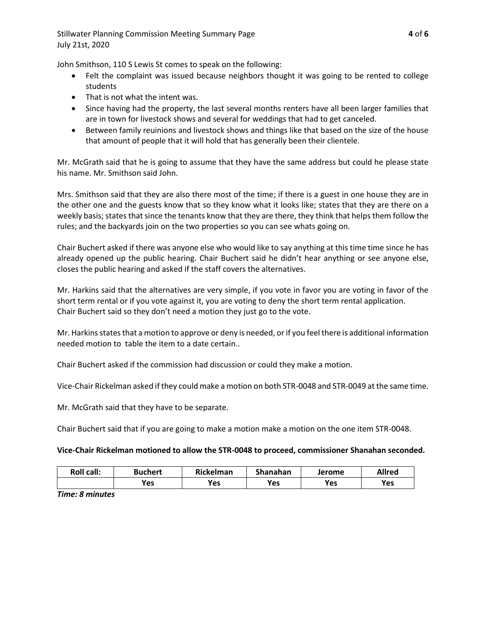John Smithson, 110 S Lewis St comes to speak on the following:

- Felt the complaint was issued because neighbors thought it was going to be rented to college students
- That is not what the intent was.
- Since having had the property, the last several months renters have all been larger families that are in town for livestock shows and several for weddings that had to get canceled.
- Between family reuinions and livestock shows and things like that based on the size of the house that amount of people that it will hold that has generally been their clientele.

Mr. McGrath said that he is going to assume that they have the same address but could he please state his name. Mr. Smithson said John.

Mrs. Smithson said that they are also there most of the time; if there is a guest in one house they are in the other one and the guests know that so they know what it looks like; states that they are there on a weekly basis; states that since the tenants know that they are there, they think that helps them follow the rules; and the backyards join on the two properties so you can see whats going on.

Chair Buchert asked if there was anyone else who would like to say anything at this time time since he has already opened up the public hearing. Chair Buchert said he didn't hear anything or see anyone else, closes the public hearing and asked if the staff covers the alternatives.

Mr. Harkins said that the alternatives are very simple, if you vote in favor you are voting in favor of the short term rental or if you vote against it, you are voting to deny the short term rental application. Chair Buchert said so they don't need a motion they just go to the vote.

Mr. Harkins states that a motion to approve or deny is needed, or if you feel there is additional information needed motion to table the item to a date certain..

Chair Buchert asked if the commission had discussion or could they make a motion.

Vice-Chair Rickelman asked if they could make a motion on both STR-0048 and STR-0049 at the same time.

Mr. McGrath said that they have to be separate.

Chair Buchert said that if you are going to make a motion make a motion on the one item STR-0048.

## **Vice-Chair Rickelman motioned to allow the STR-0048 to proceed, commissioner Shanahan seconded.**

| <b>Roll call:</b> | <b>Buchert</b> | Rickelman | Shanahan | Jerome | Allred |
|-------------------|----------------|-----------|----------|--------|--------|
|                   | Yes            | Yes       | Yes      | Yes    | Yes    |

*Time: 8 minutes*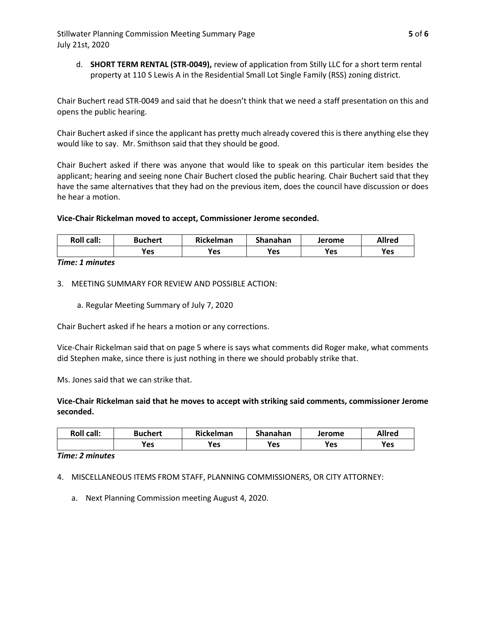Stillwater Planning Commission Meeting Summary Page **5** of **6** July 21st, 2020

d. **SHORT TERM RENTAL (STR-0049),** review of application from Stilly LLC for a short term rental property at 110 S Lewis A in the Residential Small Lot Single Family (RSS) zoning district.

Chair Buchert read STR-0049 and said that he doesn't think that we need a staff presentation on this and opens the public hearing.

Chair Buchert asked if since the applicant has pretty much already covered this is there anything else they would like to say. Mr. Smithson said that they should be good.

Chair Buchert asked if there was anyone that would like to speak on this particular item besides the applicant; hearing and seeing none Chair Buchert closed the public hearing. Chair Buchert said that they have the same alternatives that they had on the previous item, does the council have discussion or does he hear a motion.

#### **Vice-Chair Rickelman moved to accept, Commissioner Jerome seconded.**

| <b>Roll call:</b> | <b>Buchert</b> | Rickelman  | Shanahan | Jerome | Allred |
|-------------------|----------------|------------|----------|--------|--------|
|                   | Yes            | <b>Yes</b> | Yes      | Yes    | Yes    |

*Time: 1 minutes*

3. MEETING SUMMARY FOR REVIEW AND POSSIBLE ACTION:

a. Regular Meeting Summary of July 7, 2020

Chair Buchert asked if he hears a motion or any corrections.

Vice-Chair Rickelman said that on page 5 where is says what comments did Roger make, what comments did Stephen make, since there is just nothing in there we should probably strike that.

Ms. Jones said that we can strike that.

#### **Vice-Chair Rickelman said that he moves to accept with striking said comments, commissioner Jerome seconded.**

| <b>Roll call:</b> | Buchert | Rickelman | Shanahan | Jerome | Allred |
|-------------------|---------|-----------|----------|--------|--------|
|                   | Yes     | Yes       | Yes      | Yes    | Yes    |

*Time: 2 minutes*

4. MISCELLANEOUS ITEMS FROM STAFF, PLANNING COMMISSIONERS, OR CITY ATTORNEY:

a. Next Planning Commission meeting August 4, 2020.